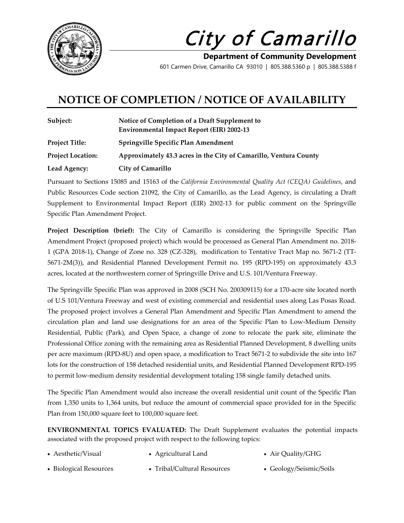

City of Camarillo

**Department of Community Development** 601 Carmen Drive, Camarillo CA 93010 | 805.388.5360 p | 805.388.5388 f

## **NOTICE OF COMPLETION / NOTICE OF AVAILABILITY**

| Subject:                 | Notice of Completion of a Draft Supplement to<br><b>Environmental Impact Report (EIR) 2002-13</b> |
|--------------------------|---------------------------------------------------------------------------------------------------|
| <b>Project Title:</b>    | Springville Specific Plan Amendment                                                               |
| <b>Project Location:</b> | Approximately 43.3 acres in the City of Camarillo, Ventura County                                 |
| Lead Agency:             | <b>City of Camarillo</b>                                                                          |

Pursuant to Sections 15085 and 15163 of the *California Environmental Quality Act (CEQA) Guidelines*, and Public Resources Code section 21092, the City of Camarillo, as the Lead Agency, is circulating a Draft Supplement to Environmental Impact Report (EIR) 2002-13 for public comment on the Springville Specific Plan Amendment Project.

**Project Description (brief):** The City of Camarillo is considering the Springville Specific Plan Amendment Project (proposed project) which would be processed as General Plan Amendment no. 2018- 1 (GPA 2018-1), Change of Zone no. 328 (CZ-328), modification to Tentative Tract Map no. 5671-2 (TT-5671-2M(3)), and Residential Planned Development Permit no. 195 (RPD-195) on approximately 43.3 acres, located at the northwestern corner of Springville Drive and U.S. 101/Ventura Freeway.

The Springville Specific Plan was approved in 2008 (SCH No. 200309115) for a 170-acre site located north of U.S 101/Ventura Freeway and west of existing commercial and residential uses along Las Posas Road. The proposed project involves a General Plan Amendment and Specific Plan Amendment to amend the circulation plan and land use designations for an area of the Specific Plan to Low-Medium Density Residential, Public (Park), and Open Space, a change of zone to relocate the park site, eliminate the Professional Office zoning with the remaining area as Residential Planned Development, 8 dwelling units per acre maximum (RPD-8U) and open space, a modification to Tract 5671-2 to subdivide the site into 167 lots for the construction of 158 detached residential units, and Residential Planned Development RPD-195 to permit low-medium density residential development totaling 158 single family detached units.

The Specific Plan Amendment would also increase the overall residential unit count of the Specific Plan from 1,350 units to 1,364 units, but reduce the amount of commercial space provided for in the Specific Plan from 150,000 square feet to 100,000 square feet.

**ENVIRONMENTAL TOPICS EVALUATED:** The Draft Supplement evaluates the potential impacts associated with the proposed project with respect to the following topics:

- Aesthetic/Visual Agricultural Land Air Quality/GHG
- Biological Resources Tribal/Cultural Resources Geology/Seismic/Soils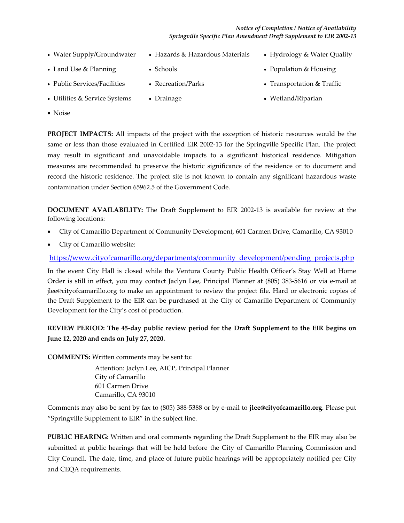## *Notice of Completion / Notice of Availability Springville Specific Plan Amendment Draft Supplement to EIR 2002-13*

- 
- Water Supply/Groundwater Hazards & Hazardous Materials Hydrology & Water Quality
- Land Use & Planning Schools Population & Housing
	-
- 
- Public Services/Facilities Recreation/Parks Transportation & Traffic
- Utilities & Service Systems Drainage 1999 Wetland/Riparian
- Noise

**PROJECT IMPACTS:** All impacts of the project with the exception of historic resources would be the same or less than those evaluated in Certified EIR 2002-13 for the Springville Specific Plan. The project may result in significant and unavoidable impacts to a significant historical residence. Mitigation measures are recommended to preserve the historic significance of the residence or to document and record the historic residence. The project site is not known to contain any significant hazardous waste contamination under Section 65962.5 of the Government Code.

**DOCUMENT AVAILABILITY:** The Draft Supplement to EIR 2002-13 is available for review at the following locations:

- City of Camarillo Department of Community Development, 601 Carmen Drive, Camarillo, CA 93010
- City of Camarillo website:

[https://www.cityofcamarillo.org/departments/community\\_development/pending\\_projects.php](https://www.cityofcamarillo.org/departments/community_development/pending_projects.php)

In the event City Hall is closed while the Ventura County Public Health Officer's Stay Well at Home Order is still in effect, you may contact Jaclyn Lee, Principal Planner at (805) 383-5616 or via e-mail at jlee@cityofcamarillo.org to make an appointment to review the project file. Hard or electronic copies of the Draft Supplement to the EIR can be purchased at the City of Camarillo Department of Community Development for the City's cost of production.

## **REVIEW PERIOD: The 45-day public review period for the Draft Supplement to the EIR begins on June 12, 2020 and ends on July 27, 2020.**

**COMMENTS:** Written comments may be sent to:

Attention: Jaclyn Lee, AICP, Principal Planner City of Camarillo 601 Carmen Drive Camarillo, CA 93010

Comments may also be sent by fax to (805) 388-5388 or by e-mail to **jlee@cityofcamarillo.org**. Please put "Springville Supplement to EIR" in the subject line.

**PUBLIC HEARING:** Written and oral comments regarding the Draft Supplement to the EIR may also be submitted at public hearings that will be held before the City of Camarillo Planning Commission and City Council. The date, time, and place of future public hearings will be appropriately notified per City and CEQA requirements.